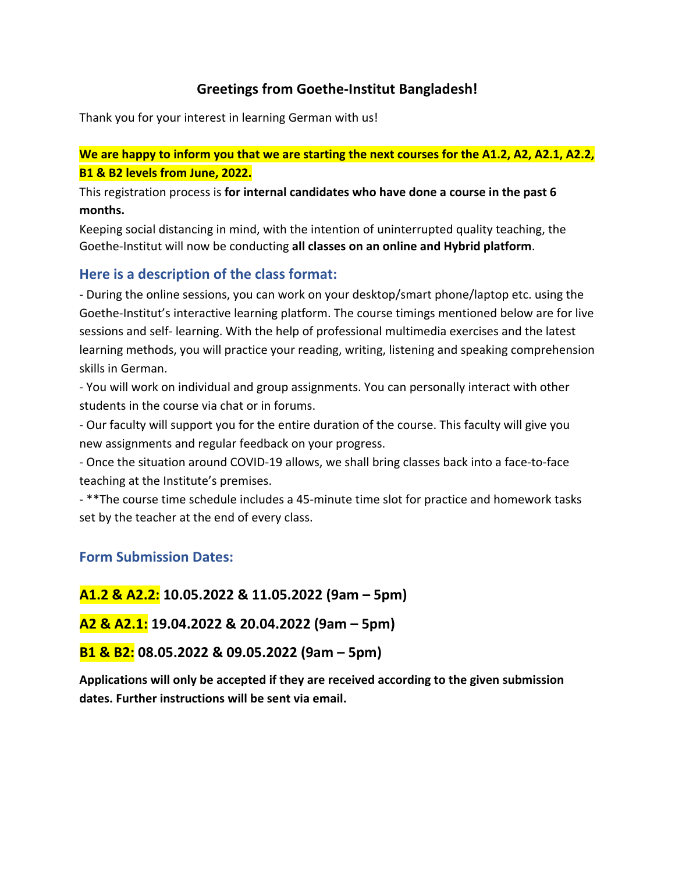# **Greetings from Goethe‐Institut Bangladesh!**

Thank you for your interest in learning German with us!

# **We are happy to inform you that we are starting the next courses for the A1.2, A2, A2.1, A2.2, B1 & B2 levels from June, 2022.**

This registration process is **for internal candidates who have done a course in the past 6 months.**

Keeping social distancing in mind, with the intention of uninterrupted quality teaching, the Goethe‐Institut will now be conducting **all classes on an online and Hybrid platform**.

### **Here is a description of the class format:**

‐ During the online sessions, you can work on your desktop/smart phone/laptop etc. using the Goethe‐Institut's interactive learning platform. The course timings mentioned below are for live sessions and self‐ learning. With the help of professional multimedia exercises and the latest learning methods, you will practice your reading, writing, listening and speaking comprehension skills in German.

‐ You will work on individual and group assignments. You can personally interact with other students in the course via chat or in forums.

‐ Our faculty will support you for the entire duration of the course. This faculty will give you new assignments and regular feedback on your progress.

- Once the situation around COVID-19 allows, we shall bring classes back into a face-to-face teaching at the Institute's premises.

- \*\*The course time schedule includes a 45-minute time slot for practice and homework tasks set by the teacher at the end of every class.

### **Form Submission Dates:**

**A1.2 & A2.2: 10.05.2022 & 11.05.2022 (9am – 5pm)**

**A2 & A2.1: 19.04.2022 & 20.04.2022 (9am – 5pm)** 

**B1 & B2: 08.05.2022 & 09.05.2022 (9am – 5pm)** 

**Applications will only be accepted if they are received according to the given submission dates. Further instructions will be sent via email.**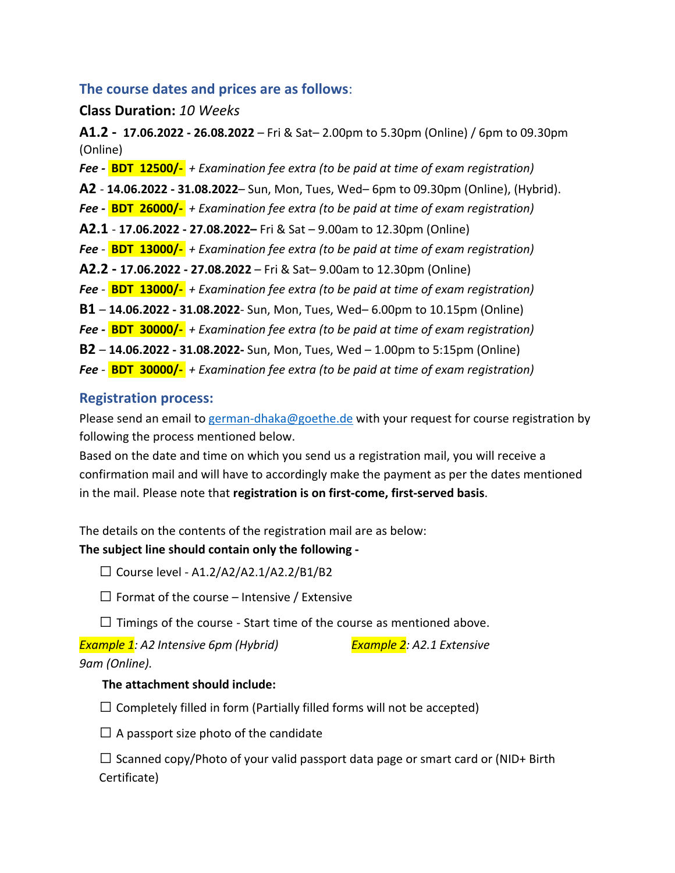### **The course dates and prices are as follows**:

#### **Class Duration:** *10 Weeks*

**A1.2 - 17.06.2022 - 26.08.2022** – Fri & Sat– 2.00pm to 5.30pm (Online) / 6pm to 09.30pm (Online) *Fee ‐* **BDT 12500/‐** *+ Examination fee extra (to be paid at time of exam registration)* **A2** ‐ **14.06.2022 - 31.08.2022**– Sun, Mon, Tues, Wed– 6pm to 09.30pm (Online), (Hybrid). *Fee ‐* **BDT 26000/‐** *+ Examination fee extra (to be paid at time of exam registration)* **A2.1** ‐ **17.06.2022 - 27.08.2022–** Fri & Sat – 9.00am to 12.30pm (Online) *Fee ‐* **BDT 13000/‐** *+ Examination fee extra (to be paid at time of exam registration)* **A2.2 - 17.06.2022 - 27.08.2022** – Fri & Sat– 9.00am to 12.30pm (Online) *Fee ‐* **BDT 13000/‐** *+ Examination fee extra (to be paid at time of exam registration)* **B1** – **14.06.2022 - 31.08.2022**- Sun, Mon, Tues, Wed– 6.00pm to 10.15pm (Online) *Fee ‐* **BDT 30000/‐** *+ Examination fee extra (to be paid at time of exam registration)* **B2** – **14.06.2022 - 31.08.2022-** Sun, Mon, Tues, Wed – 1.00pm to 5:15pm (Online) *Fee ‐* **BDT 30000/‐** *+ Examination fee extra (to be paid at time of exam registration)*

### **Registration process:**

Please send an email to german-dhaka@goethe.de [with your request for course registration by](mailto:german-dhaka@goethe.de) following the process mentioned below.

Based on the date and time on which you send us a registration mail, you will receive a confirmation mail and will have to accordingly make the payment as per the dates mentioned in the mail. Please note that **registration is on first‐come, first‐served basis**.

The details on the contents of the registration mail are as below:

### **The subject line should contain only the following ‐**

 $\Box$  Course level - A1.2/A2/A2.1/A2.2/B1/B2

 $\Box$  Format of the course – Intensive / Extensive

 $\Box$  Timings of the course - Start time of the course as mentioned above.

*Example 1: A2 Intensive 6pm (Hybrid) Example 2: A2.1 Extensive 9am (Online).*

### **The attachment should include:**

 $\Box$  Completely filled in form (Partially filled forms will not be accepted)

 $\Box$  A passport size photo of the candidate

 $\square$  Scanned copy/Photo of your valid passport data page or smart card or (NID+ Birth Certificate)